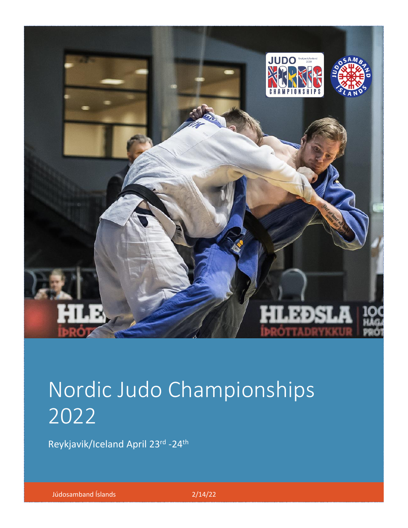

# $U_1 = U_1 + U_2 + U_3$  competitors can participate in U21, and U21, and U21 competitors can participate in Seniors. Nordic Judo Championships **Men** -60, -66, -73, -81, -90, -100 and +100 kg **Women** -48, -52, -57, -63, -70, -78 and +78 kg 2022

Reykjavik/Iceland April 23rd -24<sup>th</sup>

M1/W1 30-34, M2/W2 35-39, M3/W3 40-44, M4/W4 45-49, Júdosamband Íslands 2/14/22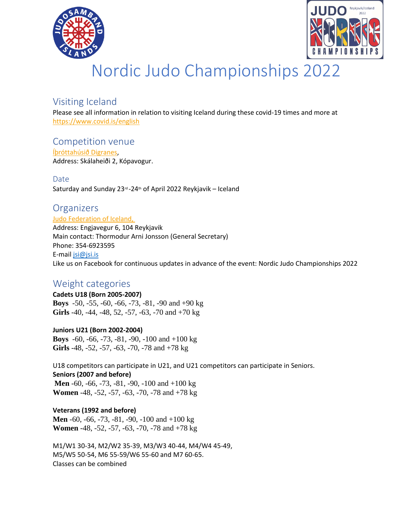



# Nordic Judo Championships 2022

# Visiting Iceland

Please see all information in relation to visiting Iceland during these covid-19 times and more at <https://www.covid.is/english>

# Competition venue

[Íþróttahúsið Digranes,](https://ja.is/ithrottahusid-digranesi/) Address: Skálaheiði 2, Kópavogur.

Date Saturday and Sunday 23rd-24th of April 2022 Reykjavik - Iceland

# **Organizers**

[Judo Federation of Iceland,](https://www.jsi.is/wp-content/uploads/2022/02/AM-yngri-2022-1.pdf)

Address: Engjavegur 6, 104 Reykjavik Main contact: Thormodur Arni Jonsson (General Secretary) Phone: 354-6923595 E-mail [jsi@jsi.is](mailto:jsi@jsi.is) Like us on Facebook for continuous updates in advance of the event: Nordic Judo Championships 2022

# Weight categories

**Cadets U18 (Born 2005-2007) Boys** -50, -55, -60, -66, -73, -81, -90 and +90 kg **Girls** -40, -44, -48, 52, -57, -63, -70 and +70 kg

**Juniors U21 (Born 2002-2004) Boys** -60, -66, -73, -81, -90, -100 and +100 kg **Girls** -48, -52, -57, -63, -70, -78 and +78 kg

U18 competitors can participate in U21, and U21 competitors can participate in Seniors. **Seniors (2007 and before) Men** -60, -66, -73, -81, -90, -100 and +100 kg

**Women** -48, -52, -57, -63, -70, -78 and +78 kg

**Veterans (1992 and before) Men** -60, -66, -73, -81, -90, -100 and +100 kg **Women** -48, -52, -57, -63, -70, -78 and +78 kg

M1/W1 30-34, M2/W2 35-39, M3/W3 40-44, M4/W4 45-49, M5/W5 50-54, M6 55-59/W6 55-60 and M7 60-65. Classes can be combined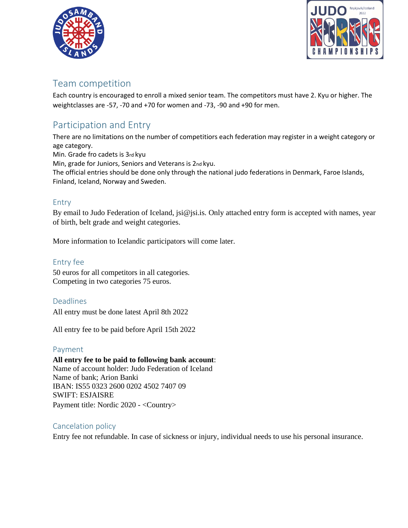



# Team competition

Each country is encouraged to enroll a mixed senior team. The competitors must have 2. Kyu or higher. The weightclasses are -57, -70 and +70 for women and -73, -90 and +90 for men.

# Participation and Entry

There are no limitations on the number of competitiors each federation may register in a weight category or age category. Min. Grade fro cadets is 3rd kyu

Min, grade for Juniors, Seniors and Veterans is 2nd kyu.

The official entries should be done only through the national judo federations in Denmark, Faroe Islands, Finland, Iceland, Norway and Sweden.

### Entry

By email to Judo Federation of Iceland, jsi@jsi.is. Only attached entry form is accepted with names, year of birth, belt grade and weight categories.

More information to Icelandic participators will come later.

Entry fee 50 euros for all competitors in all categories. Competing in two categories 75 euros.

Deadlines

All entry must be done latest April 8th 2022

All entry fee to be paid before April 15th 2022

### Payment

**All entry fee to be paid to following bank account**: Name of account holder: Judo Federation of Iceland Name of bank; Arion Banki IBAN: IS55 0323 2600 0202 4502 7407 09 SWIFT: ESJAISRE Payment title: Nordic 2020 - <Country>

# Cancelation policy

Entry fee not refundable. In case of sickness or injury, individual needs to use his personal insurance.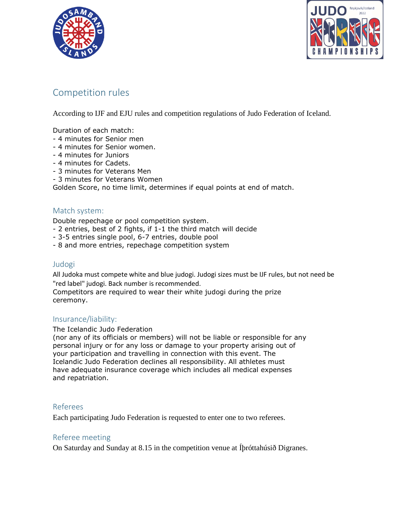



# Competition rules

According to IJF and EJU rules and competition regulations of Judo Federation of Iceland.

Duration of each match:

- 4 minutes for Senior men
- 4 minutes for Senior women.
- 4 minutes for Juniors
- 4 minutes for Cadets.
- 3 minutes for Veterans Men
- 3 minutes for Veterans Women

Golden Score, no time limit, determines if equal points at end of match.

### Match system:

Double repechage or pool competition system.

- 2 entries, best of 2 fights, if 1-1 the third match will decide
- 3-5 entries single pool, 6-7 entries, double pool
- 8 and more entries, repechage competition system

### Judogi

All Judoka must compete white and blue judogi. Judogi sizes must be IJF rules, but not need be "red label" judogi. Back number is recommended.

Competitors are required to wear their white judogi during the prize ceremony.

### Insurance/liability:

#### The Icelandic Judo Federation

(nor any of its officials or members) will not be liable or responsible for any personal injury or for any loss or damage to your property arising out of your participation and travelling in connection with this event. The Icelandic Judo Federation declines all responsibility. All athletes must have adequate insurance coverage which includes all medical expenses and repatriation.

### Referees

Each participating Judo Federation is requested to enter one to two referees.

### Referee meeting

On Saturday and Sunday at 8.15 in the competition venue at Íþróttahúsið Digranes.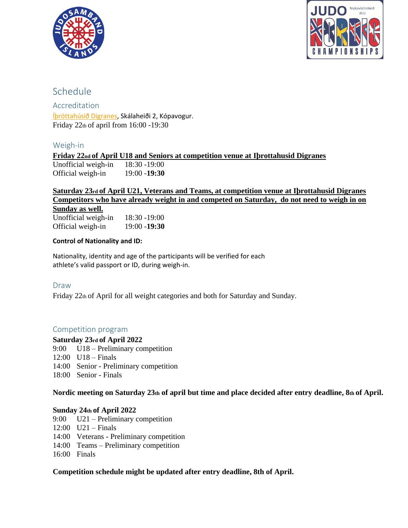



# Schedule

Accreditation [Íþróttahúsið Digranes,](https://ja.is/ithrottahusid-digranesi/) Skálaheiði 2, Kópavogur. Friday 22th of april from 16:00 -19:30

### Weigh-in

**Friday 22nd of April U18 and Seniors at competition venue at Iþrottahusid Digranes** Unofficial weigh-in 18:30 -19:00 Official weigh-in 19:00 -**19:30** 

# **Saturday 23rd of April U21, Veterans and Teams, at competition venue at Iþrottahusid Digranes Competitors who have already weight in and competed on Saturday, do not need to weigh in on**

**Sunday as well.**

Unofficial weigh-in 18:30 -19:00 Official weigh-in 19:00 -**19:30**

### **Control of Nationality and ID:**

Nationality, identity and age of the participants will be verified for each athlete's valid passport or ID, during weigh-in.

### Draw

Friday 22th of April for all weight categories and both for Saturday and Sunday.

### Competition program

### **Saturday 23rd of April 2022**

- 9:00 U18 Preliminary competition
- 12:00 U18 Finals
- 14:00 Senior Preliminary competition
- 18:00 Senior Finals

**Nordic meeting on Saturday 23th of april but time and place decided after entry deadline, 8th of April.** 

### **Sunday 24th of April 2022**

- 9:00 U21 Preliminary competition
- 12:00 U21 Finals
- 14:00 Veterans Preliminary competition
- 14:00 Teams Preliminary competition
- 16:00 Finals

### **Competition schedule might be updated after entry deadline, 8th of April.**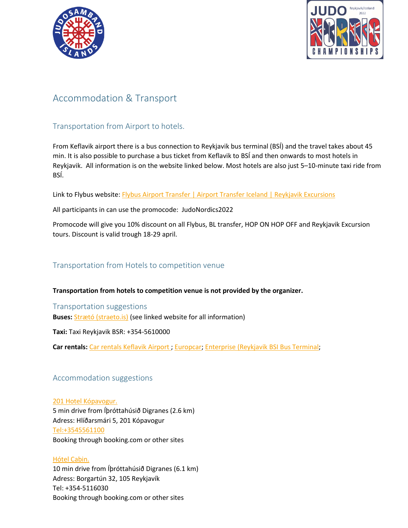



# Accommodation & Transport

# Transportation from Airport to hotels.

From Keflavik airport there is a bus connection to Reykjavik bus terminal (BSÍ) and the travel takes about 45 min. It is also possible to purchase a bus ticket from Keflavik to BSÍ and then onwards to most hotels in Reykjavik. All information is on the website linked below. Most hotels are also just 5–10-minute taxi ride from BSÍ.

Link to Flybus website: [Flybus Airport Transfer | Airport Transfer Iceland | Reykjavik Excursions](https://www.re.is/tour/flybus/?gclid=Cj0KCQiAxoiQBhCRARIsAPsvo-zBrpCWJgXoMhtX3Uu5l1A2tHyXEFlabo_z_A9HYWfaPS_e_hYmbVwaAoiREALw_wcB)

All participants in can use the promocode: JudoNordics2022

Promocode will give you 10% discount on all Flybus, BL transfer, HOP ON HOP OFF and Reykjavik Excursion tours. Discount is valid trough 18-29 april.

### Transportation from Hotels to competition venue

**Transportation from hotels to competition venue is not provided by the organizer.**

Transportation suggestions **Buses:** [Strætó \(straeto.is\)](https://straeto.is/en) (see linked website for all information)

**Taxi:** Taxi Reykjavik BSR: +354-5610000

**Car rentals:** [Car rentals Keflavik Airport](https://www.google.com/search?q=car+rentals+keflavik+airport&tbm=lcl&sxsrf=APq-WBtOwigznt0h5iTFiFwvMxA35pdJyw%3A1644490566368&ei=Ru8EYozsFYafsAf-5r8g&oq=car+rentals+kefl&gs_l=psy-ab.3.0.0i203k1l2j0i13i30k1l4j0i22i30k1l4.66185.68893.0.71535.13.13.0.0.0.0.185.1411.2j10.12.0....0...1c.1.64.psy-ab..2.11.1312...35i39k1j0i22i10i30k1j0i457i203k1j0i10i203k1.0.d7QdjWOEIWo#rlfi=hd:;si:;mv:[[64.0174591,-22.524216199999998],[63.969576499999995,-22.638737]];tbs:lrf:!1m4!1u3!2m2!3m1!1e1!1m4!1u2!2m2!2m1!1e1!2m1!1e2!2m1!1e3!3sIAE,lf:1,lf_ui:2) ; [Europcar;](https://www.holdur.is/en) [Enterprise \(Reykjavik BSI Bus Terminal;](https://www.enterpriserentacar.is/en/car-hire/locations/iceland/reykjavik-bsi-bus-terminal-kib1.html?mcid=yext:245709)

### Accommodation suggestions

[201 Hotel Kópavogur.](https://201hotel.is/?gclid=Cj0KCQiAjJOQBhCkARIsAEKMtO1Hd6n_uCqPGJAcKumc3vMDevCArmMV_cjNNb8vJoJA6LXyoLfRsDAaAlmaEALw_wcB) 5 min drive from Íþróttahúsið Digranes (2.6 km) Adress: Hlíðarsmári 5, 201 Kópavogur [Tel:+3545561100](tel:+3545561100) Booking through booking.com or other sites

#### [Hótel Cabin.](https://hotelcabin.is/)

10 min drive from Íþróttahúsið Digranes (6.1 km) Adress: Borgartún 32, 105 Reykjavík Tel: +354-5116030 Booking through booking.com or other sites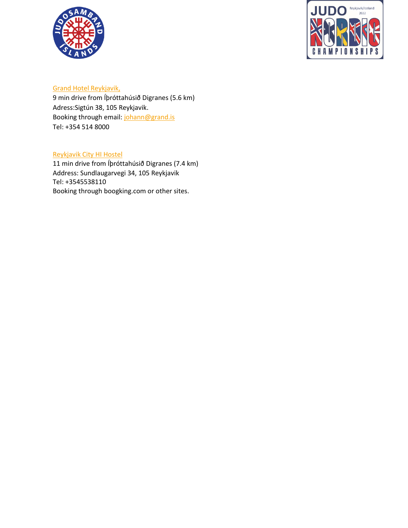



### [Grand Hotel Reykjavik,](https://www.book-secure.com/index.php?s=results&property=isrey31621&arrival=2022-03-07&departure=2022-03-08&adults1=2&children1=0&locale=is_IS¤cy=ISK&stid=m0npnipyf&clickid=87fa574d-8a01-47d0-a255-66ffaaee2446&_fbtl=FB-PACK-PPC-SITE-GHP&FSTBKNGTrackLink=FB-PACK-PPC-SITE-GHP&tosite=tmphotel&DistNum=ISIS117&tdp=13464.84&vrfc=false&price=13464.84&PAYMENT-ID=&rateId=Standard-Rate-Room-only&roomId=Atrium-View-Twin&organicLink=false&tt_ad_type=paid&tt_user_country=is&tt_user_device=desktop&tt_los=1&tt_checkin=2022-03-07&tt_meta=gha&utm_source=googlehotelads&utm_medium=meta&tt_checkout=2022-03-07&tt_adults=2&tt_children=0&tt_partner_id=4359&tt_clid=1644497415)

9 min drive from Íþróttahúsið Digranes (5.6 km) Adress:Sigtún 38, 105 Reykjavik. Booking through email: [johann@grand.is](mailto:johann@grand.is) Tel: +354 514 8000

### [Reykjavik City HI Hostel](https://www.hostel.is/hostels/reykjavik-city-hi-hostel)

11 min drive from Íþróttahúsið Digranes (7.4 km) Address: Sundlaugarvegi 34, 105 Reykjavik Tel: [+3545538110](tel:+3545538110) Booking through boogking.com or other sites.